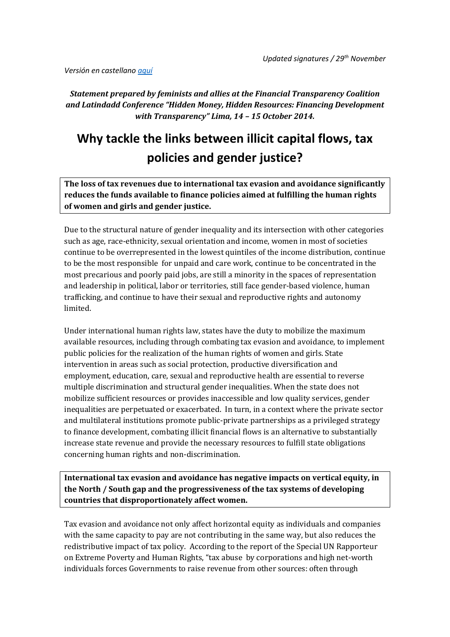*Versión en castellano [aquí](#page-3-0)*

*Statement prepared by feminists and allies at the Financial Transparency Coalition and Latindadd Conference "Hidden Money, Hidden Resources: Financing Development with Transparency" Lima, 14 – 15 October 2014.*

# **Why tackle the links between illicit capital flows, tax policies and gender justice?**

**The loss of tax revenues due to international tax evasion and avoidance significantly reduces the funds available to finance policies aimed at fulfilling the human rights of women and girls and gender justice.** 

Due to the structural nature of gender inequality and its intersection with other categories such as age, race-ethnicity, sexual orientation and income, women in most of societies continue to be overrepresented in the lowest quintiles of the income distribution, continue to be the most responsible for unpaid and care work, continue to be concentrated in the most precarious and poorly paid jobs, are still a minority in the spaces of representation and leadership in political, labor or territories, still face gender-based violence, human trafficking, and continue to have their sexual and reproductive rights and autonomy limited.

Under international human rights law, states have the duty to mobilize the maximum available resources, including through combating tax evasion and avoidance, to implement public policies for the realization of the human rights of women and girls. State intervention in areas such as social protection, productive diversification and employment, education, care, sexual and reproductive health are essential to reverse multiple discrimination and structural gender inequalities. When the state does not mobilize sufficient resources or provides inaccessible and low quality services, gender inequalities are perpetuated or exacerbated. In turn, in a context where the private sector and multilateral institutions promote public-private partnerships as a privileged strategy to finance development, combating illicit financial flows is an alternative to substantially increase state revenue and provide the necessary resources to fulfill state obligations concerning human rights and non-discrimination.

**International tax evasion and avoidance has negative impacts on vertical equity, in the North / South gap and the progressiveness of the tax systems of developing countries that disproportionately affect women.**

Tax evasion and avoidance not only affect horizontal equity as individuals and companies with the same capacity to pay are not contributing in the same way, but also reduces the redistributive impact of tax policy. According to the report of the Special UN Rapporteur on Extreme Poverty and Human Rights, "tax abuse by corporations and high net-worth individuals forces Governments to raise revenue from other sources: often through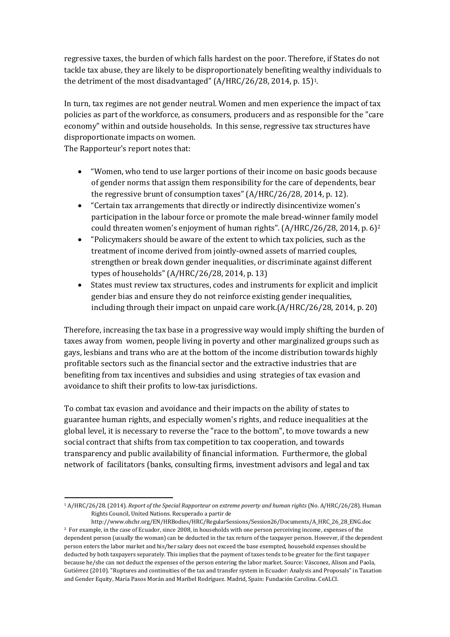regressive taxes, the burden of which falls hardest on the poor. Therefore, if States do not tackle tax abuse, they are likely to be disproportionately benefiting wealthy individuals to the detriment of the most disadvantaged" (A/HRC/26/28, 2014, p. 15)1.

In turn, tax regimes are not gender neutral. Women and men experience the impact of tax policies as part of the workforce, as consumers, producers and as responsible for the "care economy" within and outside households. In this sense, regressive tax structures have disproportionate impacts on women.

The Rapporteur's report notes that:

- "Women, who tend to use larger portions of their income on basic goods because of gender norms that assign them responsibility for the care of dependents, bear the regressive brunt of consumption taxes" (A/HRC/26/28, 2014, p. 12).
- "Certain tax arrangements that directly or indirectly disincentivize women's participation in the labour force or promote the male bread-winner family model could threaten women's enjoyment of human rights". (A/HRC/26/28, 2014, p. 6)<sup>2</sup>
- "Policymakers should be aware of the extent to which tax policies, such as the treatment of income derived from jointly-owned assets of married couples, strengthen or break down gender inequalities, or discriminate against different types of households" (A/HRC/26/28, 2014, p. 13)
- States must review tax structures, codes and instruments for explicit and implicit gender bias and ensure they do not reinforce existing gender inequalities, including through their impact on unpaid care work.(A/HRC/26/28, 2014, p. 20)

Therefore, increasing the tax base in a progressive way would imply shifting the burden of taxes away from women, people living in poverty and other marginalized groups such as gays, lesbians and trans who are at the bottom of the income distribution towards highly profitable sectors such as the financial sector and the extractive industries that are benefiting from tax incentives and subsidies and using strategies of tax evasion and avoidance to shift their profits to low-tax jurisdictions.

To combat tax evasion and avoidance and their impacts on the ability of states to guarantee human rights, and especially women's rights, and reduce inequalities at the global level, it is necessary to reverse the "race to the bottom", to move towards a new social contract that shifts from tax competition to tax cooperation, and towards transparency and public availability of financial information. Furthermore, the global network of facilitators (banks, consulting firms, investment advisors and legal and tax

**<sup>.</sup>** <sup>1</sup> A/HRC/26/28. (2014). *Report of the Special Rapporteur on extreme poverty and human rights* (No. A/HRC/26/28). Human Rights Council, United Nations. Recuperado a partir de

http://www.ohchr.org/EN/HRBodies/HRC/RegularSessions/Session26/Documents/A\_HRC\_26\_28\_ENG.doc <sup>2</sup> For example, in the case of Ecuador, since 2008, in households with one person perceiving income, expenses of the dependent person (usually the woman) can be deducted in the tax return of the taxpayer person. However, if the dependent person enters the labor market and his/her salary does not exceed the base exempted, household expenses should be deducted by both taxpayers separately. This implies that the payment of taxes tends to be greater for the first taxpayer because he/she can not deduct the expenses of the person entering the labor market. Source: Vásconez, Alison and Paola, Gutiérrez (2010). "Ruptures and continuities of the tax and transfer system in Ecuador: Analysis and Proposals" in Taxation and Gender Equity, María Pasos Morán and Maribel Rodríguez. Madrid, Spain: Fundación Carolina. CeALCI.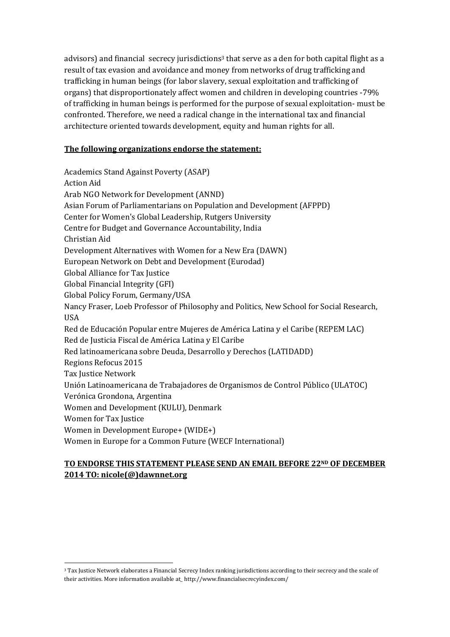advisors) and financial secrecy jurisdictions<sup>3</sup> that serve as a den for both capital flight as a result of tax evasion and avoidance and money from networks of drug trafficking and trafficking in human beings (for labor slavery, sexual exploitation and trafficking of organs) that disproportionately affect women and children in developing countries -79% of trafficking in human beings is performed for the purpose of sexual exploitation- must be confronted. Therefore, we need a radical change in the international tax and financial architecture oriented towards development, equity and human rights for all.

#### **The following organizations endorse the statement:**

Academics Stand Against Poverty (ASAP) Action Aid Arab NGO Network for Development (ANND) Asian Forum of Parliamentarians on Population and Development (AFPPD) Center for Women's Global Leadership, Rutgers University Centre for Budget and Governance Accountability, India Christian Aid Development Alternatives with Women for a New Era (DAWN) European Network on Debt and Development (Eurodad) Global Alliance for Tax Justice Global Financial Integrity (GFI) Global Policy Forum, Germany/USA Nancy Fraser, Loeb Professor of Philosophy and Politics, New School for Social Research, USA Red de Educación Popular entre Mujeres de América Latina y el Caribe (REPEM LAC) Red de Justicia Fiscal de América Latina y El Caribe Red latinoamericana sobre Deuda, Desarrollo y Derechos (LATIDADD) Regions Refocus 2015 Tax Justice Network Unión Latinoamericana de Trabajadores de Organismos de Control Público (ULATOC) Verónica Grondona, Argentina Women and Development (KULU), Denmark Women for Tax Justice Women in Development Europe+ (WIDE+) Women in Europe for a Common Future (WECF International)

### **TO ENDORSE THIS STATEMENT PLEASE SEND AN EMAIL BEFORE 22ND OF DECEMBER 2014 TO[: nicole\(@\)dawnnet.org](mailto:info@dawnnet.org)**

**.** 

<sup>3</sup> Tax Justice Network elaborates a Financial Secrecy Index ranking jurisdictions according to their secrecy and the scale of their activities. More information available at\_ http://www.financialsecrecyindex.com/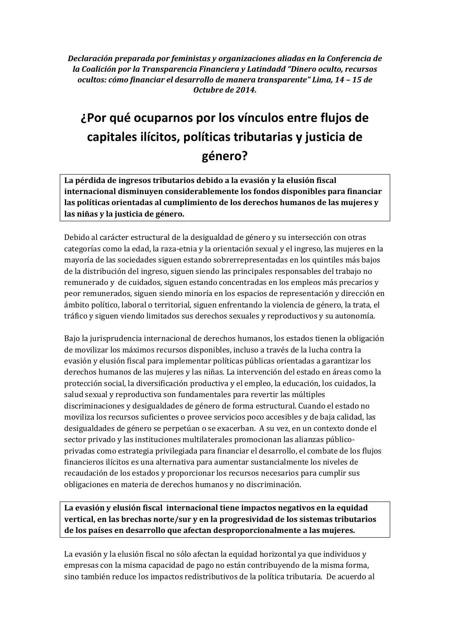<span id="page-3-0"></span>*Declaración preparada por feministas y organizaciones aliadas en la Conferencia de la Coalición por la Transparencia Financiera y Latindadd "Dinero oculto, recursos ocultos: cómo financiar el desarrollo de manera transparente" Lima, 14 – 15 de Octubre de 2014.*

# **¿Por qué ocuparnos por los vínculos entre flujos de capitales ilícitos, políticas tributarias y justicia de género?**

**La pérdida de ingresos tributarios debido a la evasión y la elusión fiscal internacional disminuyen considerablemente los fondos disponibles para financiar las políticas orientadas al cumplimiento de los derechos humanos de las mujeres y las niñas y la justicia de género.** 

Debido al carácter estructural de la desigualdad de género y su intersección con otras categorías como la edad, la raza-etnia y la orientación sexual y el ingreso, las mujeres en la mayoría de las sociedades siguen estando sobrerrepresentadas en los quintiles más bajos de la distribución del ingreso, siguen siendo las principales responsables del trabajo no remunerado y de cuidados, siguen estando concentradas en los empleos más precarios y peor remunerados, siguen siendo minoría en los espacios de representación y dirección en ámbito político, laboral o territorial, siguen enfrentando la violencia de género, la trata, el tráfico y siguen viendo limitados sus derechos sexuales y reproductivos y su autonomía.

Bajo la jurisprudencia internacional de derechos humanos, los estados tienen la obligación de movilizar los máximos recursos disponibles, incluso a través de la lucha contra la evasión y elusión fiscal para implementar políticas públicas orientadas a garantizar los derechos humanos de las mujeres y las niñas. La intervención del estado en áreas como la protección social, la diversificación productiva y el empleo, la educación, los cuidados, la salud sexual y reproductiva son fundamentales para revertir las múltiples discriminaciones y desigualdades de género de forma estructural. Cuando el estado no moviliza los recursos suficientes o provee servicios poco accesibles y de baja calidad, las desigualdades de género se perpetúan o se exacerban. A su vez, en un contexto donde el sector privado y las instituciones multilaterales promocionan las alianzas públicoprivadas como estrategia privilegiada para financiar el desarrollo, el combate de los flujos financieros ilícitos es una alternativa para aumentar sustancialmente los niveles de recaudación de los estados y proporcionar los recursos necesarios para cumplir sus obligaciones en materia de derechos humanos y no discriminación.

**La evasión y elusión fiscal internacional tiene impactos negativos en la equidad vertical, en las brechas norte/sur y en la progresividad de los sistemas tributarios de los países en desarrollo que afectan desproporcionalmente a las mujeres.**

La evasión y la elusión fiscal no sólo afectan la equidad horizontal ya que individuos y empresas con la misma capacidad de pago no están contribuyendo de la misma forma, sino también reduce los impactos redistributivos de la política tributaria. De acuerdo al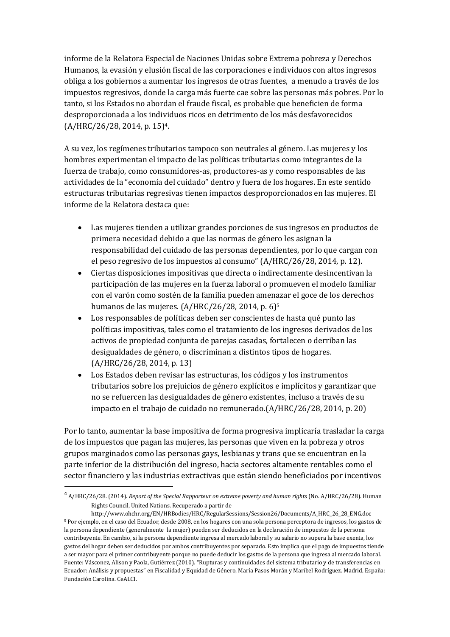informe de la Relatora Especial de Naciones Unidas sobre Extrema pobreza y Derechos Humanos, la evasión y elusión fiscal de las corporaciones e individuos con altos ingresos obliga a los gobiernos a aumentar los ingresos de otras fuentes, a menudo a través de los impuestos regresivos, donde la carga más fuerte cae sobre las personas más pobres. Por lo tanto, si los Estados no abordan el fraude fiscal, es probable que beneficien de forma desproporcionada a los individuos ricos en detrimento de los más desfavorecidos (A/HRC/26/28, 2014, p. 15)4.

A su vez, los regímenes tributarios tampoco son neutrales al género. Las mujeres y los hombres experimentan el impacto de las políticas tributarias como integrantes de la fuerza de trabajo, como consumidores-as, productores-as y como responsables de las actividades de la "economía del cuidado" dentro y fuera de los hogares. En este sentido estructuras tributarias regresivas tienen impactos desproporcionados en las mujeres. El informe de la Relatora destaca que:

- Las mujeres tienden a utilizar grandes porciones de sus ingresos en productos de primera necesidad debido a que las normas de género les asignan la responsabilidad del cuidado de las personas dependientes, por lo que cargan con el peso regresivo de los impuestos al consumo" (A/HRC/26/28, 2014, p. 12).
- Ciertas disposiciones impositivas que directa o indirectamente desincentivan la participación de las mujeres en la fuerza laboral o promueven el modelo familiar con el varón como sostén de la familia pueden amenazar el goce de los derechos humanos de las mujeres. (A/HRC/26/28, 2014, p. 6)<sup>5</sup>
- Los responsables de políticas deben ser conscientes de hasta qué punto las políticas impositivas, tales como el tratamiento de los ingresos derivados de los activos de propiedad conjunta de parejas casadas, fortalecen o derriban las desigualdades de género, o discriminan a distintos tipos de hogares. (A/HRC/26/28, 2014, p. 13)
- Los Estados deben revisar las estructuras, los códigos y los instrumentos tributarios sobre los prejuicios de género explícitos e implícitos y garantizar que no se refuercen las desigualdades de género existentes, incluso a través de su impacto en el trabajo de cuidado no remunerado.(A/HRC/26/28, 2014, p. 20)

Por lo tanto, aumentar la base impositiva de forma progresiva implicaría trasladar la carga de los impuestos que pagan las mujeres, las personas que viven en la pobreza y otros grupos marginados como las personas gays, lesbianas y trans que se encuentran en la parte inferior de la distribución del ingreso, hacia sectores altamente rentables como el sector financiero y las industrias extractivas que están siendo beneficiados por incentivos

**.** 

<sup>4</sup> A/HRC/26/28. (2014). *Report of the Special Rapporteur on extreme poverty and human rights* (No. A/HRC/26/28). Human Rights Council, United Nations. Recuperado a partir de

http://www.ohchr.org/EN/HRBodies/HRC/RegularSessions/Session26/Documents/A\_HRC\_26\_28\_ENG.doc <sup>5</sup> Por ejemplo, en el caso del Ecuador, desde 2008, en los hogares con una sola persona perceptora de ingresos, los gastos de la persona dependiente (generalmente la mujer) pueden ser deducidos en la declaración de impuestos de la persona contribuyente. En cambio, si la persona dependiente ingresa al mercado laboral y su salario no supera la base exenta, los gastos del hogar deben ser deducidos por ambos contribuyentes por separado. Esto implica que el pago de impuestos tiende a ser mayor para el primer contribuyente porque no puede deducir los gastos de la persona que ingresa al mercado laboral. Fuente: Vásconez, Alison y Paola, Gutiérrez (2010). "Rupturas y continuidades del sistema tributario y de transferencias en Ecuador: Análisis y propuestas" en Fiscalidad y Equidad de Género, María Pasos Morán y Maribel Rodríguez. Madrid, España: Fundación Carolina. CeALCI.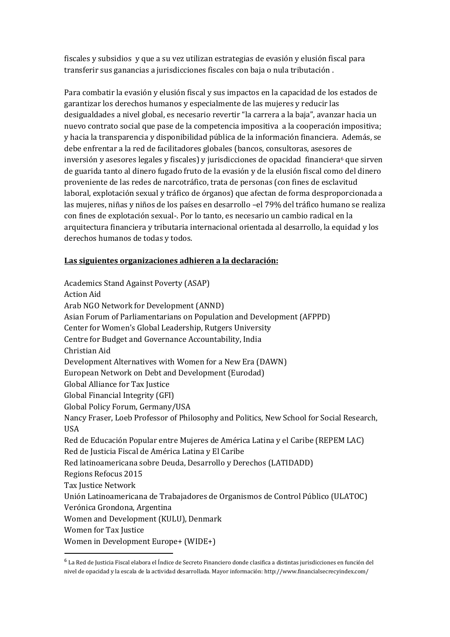fiscales y subsidios y que a su vez utilizan estrategias de evasión y elusión fiscal para transferir sus ganancias a jurisdicciones fiscales con baja o nula tributación .

Para combatir la evasión y elusión fiscal y sus impactos en la capacidad de los estados de garantizar los derechos humanos y especialmente de las mujeres y reducir las desigualdades a nivel global, es necesario revertir "la carrera a la baja", avanzar hacia un nuevo contrato social que pase de la competencia impositiva a la cooperación impositiva; y hacia la transparencia y disponibilidad pública de la información financiera. Además, se debe enfrentar a la red de facilitadores globales (bancos, consultoras, asesores de inversión y asesores legales y fiscales) y jurisdicciones de opacidad financiera<sup>6</sup> que sirven de guarida tanto al dinero fugado fruto de la evasión y de la elusión fiscal como del dinero proveniente de las redes de narcotráfico, trata de personas (con fines de esclavitud laboral, explotación sexual y tráfico de órganos) que afectan de forma desproporcionada a las mujeres, niñas y niños de los países en desarrollo –el 79% del tráfico humano se realiza con fines de explotación sexual-. Por lo tanto, es necesario un cambio radical en la arquitectura financiera y tributaria internacional orientada al desarrollo, la equidad y los derechos humanos de todas y todos.

#### **Las siguientes organizaciones adhieren a la declaración:**

Academics Stand Against Poverty (ASAP) Action Aid Arab NGO Network for Development (ANND) Asian Forum of Parliamentarians on Population and Development (AFPPD) Center for Women's Global Leadership, Rutgers University Centre for Budget and Governance Accountability, India Christian Aid Development Alternatives with Women for a New Era (DAWN) European Network on Debt and Development (Eurodad) Global Alliance for Tax Justice Global Financial Integrity (GFI) Global Policy Forum, Germany/USA Nancy Fraser, Loeb Professor of Philosophy and Politics, New School for Social Research, **USA** Red de Educación Popular entre Mujeres de América Latina y el Caribe (REPEM LAC) Red de Justicia Fiscal de América Latina y El Caribe Red latinoamericana sobre Deuda, Desarrollo y Derechos (LATIDADD) Regions Refocus 2015 Tax Justice Network Unión Latinoamericana de Trabajadores de Organismos de Control Público (ULATOC) Verónica Grondona, Argentina Women and Development (KULU), Denmark Women for Tax Justice Women in Development Europe+ (WIDE+)

**.** 

<sup>&</sup>lt;sup>6</sup> La Red de Justicia Fiscal elabora el Índice de Secreto Financiero donde clasifica a distintas jurisdicciones en función del nivel de opacidad y la escala de la actividad desarrollada. Mayor información: http://www.financialsecrecyindex.com/